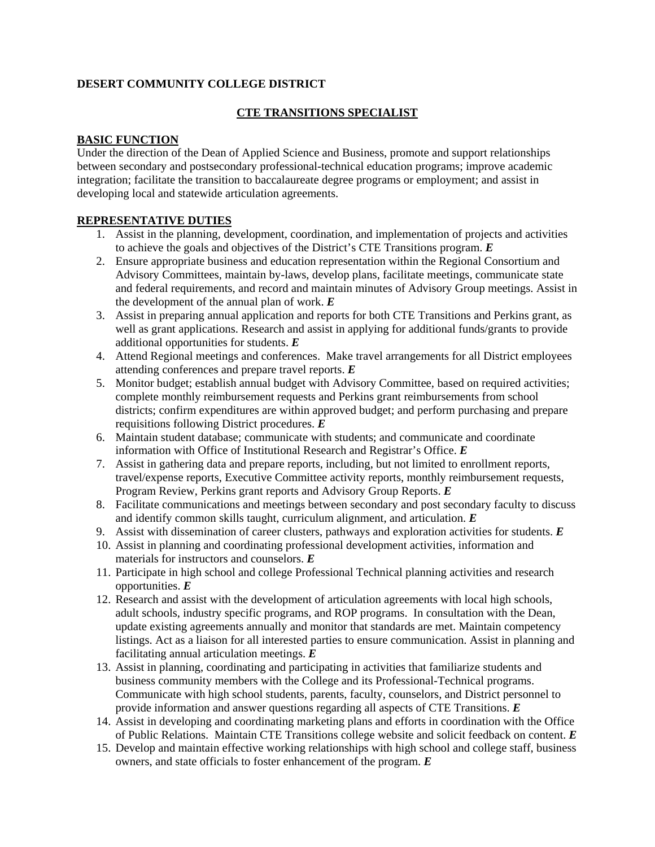# **DESERT COMMUNITY COLLEGE DISTRICT**

### **CTE TRANSITIONS SPECIALIST**

#### **BASIC FUNCTION**

Under the direction of the Dean of Applied Science and Business, promote and support relationships between secondary and postsecondary professional-technical education programs; improve academic integration; facilitate the transition to baccalaureate degree programs or employment; and assist in developing local and statewide articulation agreements.

### **REPRESENTATIVE DUTIES**

- 1. Assist in the planning, development, coordination, and implementation of projects and activities to achieve the goals and objectives of the District's CTE Transitions program. *E*
- 2. Ensure appropriate business and education representation within the Regional Consortium and Advisory Committees, maintain by-laws, develop plans, facilitate meetings, communicate state and federal requirements, and record and maintain minutes of Advisory Group meetings. Assist in the development of the annual plan of work. *E*
- 3. Assist in preparing annual application and reports for both CTE Transitions and Perkins grant, as well as grant applications. Research and assist in applying for additional funds/grants to provide additional opportunities for students. *E*
- 4. Attend Regional meetings and conferences. Make travel arrangements for all District employees attending conferences and prepare travel reports. *E*
- 5. Monitor budget; establish annual budget with Advisory Committee, based on required activities; complete monthly reimbursement requests and Perkins grant reimbursements from school districts; confirm expenditures are within approved budget; and perform purchasing and prepare requisitions following District procedures. *E*
- 6. Maintain student database; communicate with students; and communicate and coordinate information with Office of Institutional Research and Registrar's Office. *E*
- 7. Assist in gathering data and prepare reports, including, but not limited to enrollment reports, travel/expense reports, Executive Committee activity reports, monthly reimbursement requests, Program Review, Perkins grant reports and Advisory Group Reports. *E*
- 8. Facilitate communications and meetings between secondary and post secondary faculty to discuss and identify common skills taught, curriculum alignment, and articulation. *E*
- 9. Assist with dissemination of career clusters, pathways and exploration activities for students. *E*
- 10. Assist in planning and coordinating professional development activities, information and materials for instructors and counselors. *E*
- 11. Participate in high school and college Professional Technical planning activities and research opportunities. *E*
- 12. Research and assist with the development of articulation agreements with local high schools, adult schools, industry specific programs, and ROP programs. In consultation with the Dean, update existing agreements annually and monitor that standards are met. Maintain competency listings. Act as a liaison for all interested parties to ensure communication. Assist in planning and facilitating annual articulation meetings. *E*
- 13. Assist in planning, coordinating and participating in activities that familiarize students and business community members with the College and its Professional-Technical programs. Communicate with high school students, parents, faculty, counselors, and District personnel to provide information and answer questions regarding all aspects of CTE Transitions. *E*
- 14. Assist in developing and coordinating marketing plans and efforts in coordination with the Office of Public Relations. Maintain CTE Transitions college website and solicit feedback on content. *E*
- 15. Develop and maintain effective working relationships with high school and college staff, business owners, and state officials to foster enhancement of the program. *E*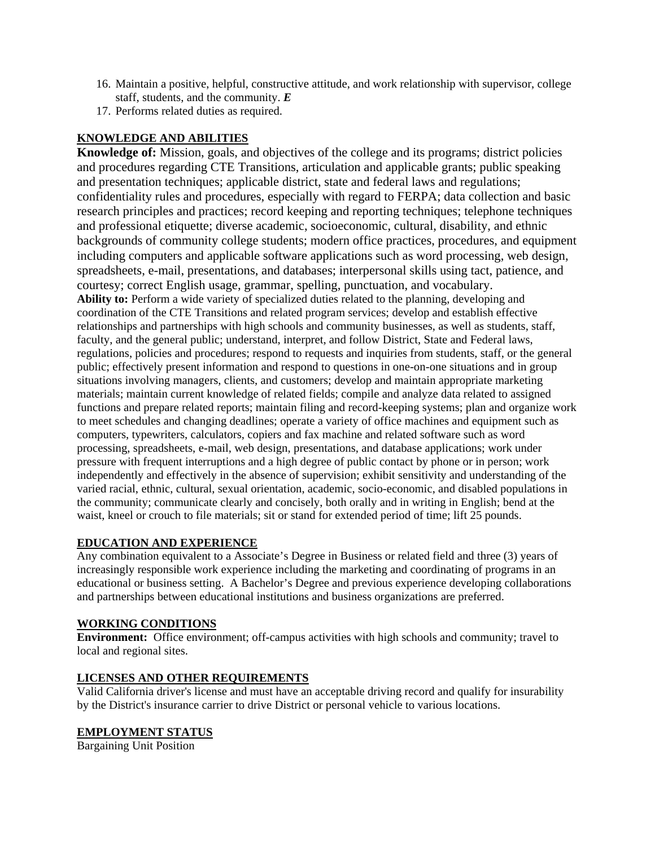- 16. Maintain a positive, helpful, constructive attitude, and work relationship with supervisor, college staff, students, and the community. *E*
- 17. Performs related duties as required.

# **KNOWLEDGE AND ABILITIES**

**Knowledge of:** Mission, goals, and objectives of the college and its programs; district policies and procedures regarding CTE Transitions, articulation and applicable grants; public speaking and presentation techniques; applicable district, state and federal laws and regulations; confidentiality rules and procedures, especially with regard to FERPA; data collection and basic research principles and practices; record keeping and reporting techniques; telephone techniques and professional etiquette; diverse academic, socioeconomic, cultural, disability, and ethnic backgrounds of community college students; modern office practices, procedures, and equipment including computers and applicable software applications such as word processing, web design, spreadsheets, e-mail, presentations, and databases; interpersonal skills using tact, patience, and courtesy; correct English usage, grammar, spelling, punctuation, and vocabulary. Ability to: Perform a wide variety of specialized duties related to the planning, developing and coordination of the CTE Transitions and related program services; develop and establish effective relationships and partnerships with high schools and community businesses, as well as students, staff, faculty, and the general public; understand, interpret, and follow District, State and Federal laws, regulations, policies and procedures; respond to requests and inquiries from students, staff, or the general public; effectively present information and respond to questions in one-on-one situations and in group situations involving managers, clients, and customers; develop and maintain appropriate marketing materials; maintain current knowledge of related fields; compile and analyze data related to assigned functions and prepare related reports; maintain filing and record-keeping systems; plan and organize work to meet schedules and changing deadlines; operate a variety of office machines and equipment such as computers, typewriters, calculators, copiers and fax machine and related software such as word processing, spreadsheets, e-mail, web design, presentations, and database applications; work under pressure with frequent interruptions and a high degree of public contact by phone or in person; work independently and effectively in the absence of supervision; exhibit sensitivity and understanding of the varied racial, ethnic, cultural, sexual orientation, academic, socio-economic, and disabled populations in the community; communicate clearly and concisely, both orally and in writing in English; bend at the waist, kneel or crouch to file materials; sit or stand for extended period of time; lift 25 pounds.

# **EDUCATION AND EXPERIENCE**

Any combination equivalent to a Associate's Degree in Business or related field and three (3) years of increasingly responsible work experience including the marketing and coordinating of programs in an educational or business setting. A Bachelor's Degree and previous experience developing collaborations and partnerships between educational institutions and business organizations are preferred.

#### **WORKING CONDITIONS**

**Environment:** Office environment; off-campus activities with high schools and community; travel to local and regional sites.

#### **LICENSES AND OTHER REQUIREMENTS**

Valid California driver's license and must have an acceptable driving record and qualify for insurability by the District's insurance carrier to drive District or personal vehicle to various locations.

# **EMPLOYMENT STATUS**

Bargaining Unit Position